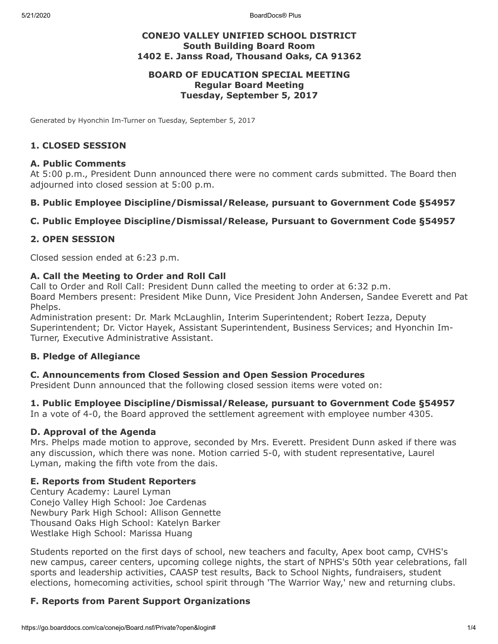5/21/2020 BoardDocs® Plus

## **CONEJO VALLEY UNIFIED SCHOOL DISTRICT South Building Board Room 1402 E. Janss Road, Thousand Oaks, CA 91362**

#### **BOARD OF EDUCATION SPECIAL MEETING Regular Board Meeting Tuesday, September 5, 2017**

Generated by Hyonchin Im-Turner on Tuesday, September 5, 2017

#### **1. CLOSED SESSION**

#### **A. Public Comments**

At 5:00 p.m., President Dunn announced there were no comment cards submitted. The Board then adjourned into closed session at 5:00 p.m.

#### **B. Public Employee Discipline/Dismissal/Release, pursuant to Government Code §54957**

### **C. Public Employee Discipline/Dismissal/Release, Pursuant to Government Code §54957**

#### **2. OPEN SESSION**

Closed session ended at 6:23 p.m.

#### **A. Call the Meeting to Order and Roll Call**

Call to Order and Roll Call: President Dunn called the meeting to order at 6:32 p.m. Board Members present: President Mike Dunn, Vice President John Andersen, Sandee Everett and Pat Phelps.

Administration present: Dr. Mark McLaughlin, Interim Superintendent; Robert Iezza, Deputy Superintendent; Dr. Victor Hayek, Assistant Superintendent, Business Services; and Hyonchin Im-Turner, Executive Administrative Assistant.

#### **B. Pledge of Allegiance**

#### **C. Announcements from Closed Session and Open Session Procedures**

President Dunn announced that the following closed session items were voted on:

#### **1. Public Employee Discipline/Dismissal/Release, pursuant to Government Code §54957**

In a vote of 4-0, the Board approved the settlement agreement with employee number 4305.

#### **D. Approval of the Agenda**

Mrs. Phelps made motion to approve, seconded by Mrs. Everett. President Dunn asked if there was any discussion, which there was none. Motion carried 5-0, with student representative, Laurel Lyman, making the fifth vote from the dais.

#### **E. Reports from Student Reporters**

Century Academy: Laurel Lyman Conejo Valley High School: Joe Cardenas Newbury Park High School: Allison Gennette Thousand Oaks High School: Katelyn Barker Westlake High School: Marissa Huang

Students reported on the first days of school, new teachers and faculty, Apex boot camp, CVHS's new campus, career centers, upcoming college nights, the start of NPHS's 50th year celebrations, fall sports and leadership activities, CAASP test results, Back to School Nights, fundraisers, student elections, homecoming activities, school spirit through 'The Warrior Way,' new and returning clubs.

## **F. Reports from Parent Support Organizations**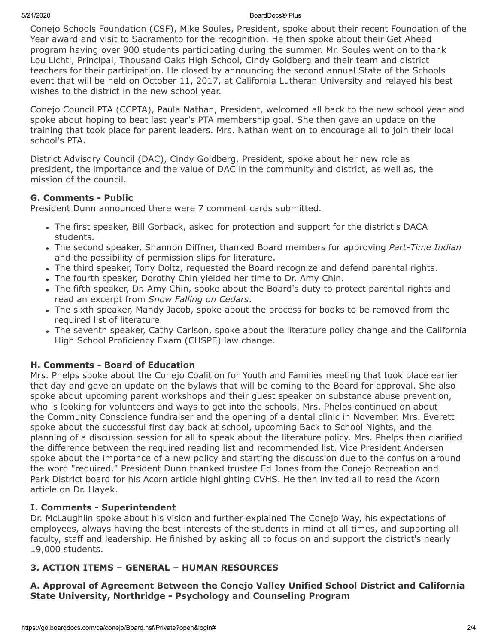#### 5/21/2020 BoardDocs® Plus

Conejo Schools Foundation (CSF), Mike Soules, President, spoke about their recent Foundation of the Year award and visit to Sacramento for the recognition. He then spoke about their Get Ahead program having over 900 students participating during the summer. Mr. Soules went on to thank Lou Lichtl, Principal, Thousand Oaks High School, Cindy Goldberg and their team and district teachers for their participation. He closed by announcing the second annual State of the Schools event that will be held on October 11, 2017, at California Lutheran University and relayed his best wishes to the district in the new school year.

Conejo Council PTA (CCPTA), Paula Nathan, President, welcomed all back to the new school year and spoke about hoping to beat last year's PTA membership goal. She then gave an update on the training that took place for parent leaders. Mrs. Nathan went on to encourage all to join their local school's PTA.

District Advisory Council (DAC), Cindy Goldberg, President, spoke about her new role as president, the importance and the value of DAC in the community and district, as well as, the mission of the council.

## **G. Comments - Public**

President Dunn announced there were 7 comment cards submitted.

- The first speaker, Bill Gorback, asked for protection and support for the district's DACA students.
- The second speaker, Shannon Diffner, thanked Board members for approving *Part-Time Indian* and the possibility of permission slips for literature.
- The third speaker, Tony Doltz, requested the Board recognize and defend parental rights.
- The fourth speaker, Dorothy Chin yielded her time to Dr. Amy Chin.
- The fifth speaker, Dr. Amy Chin, spoke about the Board's duty to protect parental rights and read an excerpt from *Snow Falling on Cedars*.
- The sixth speaker, Mandy Jacob, spoke about the process for books to be removed from the required list of literature.
- The seventh speaker, Cathy Carlson, spoke about the literature policy change and the California High School Proficiency Exam (CHSPE) law change.

## **H. Comments - Board of Education**

Mrs. Phelps spoke about the Conejo Coalition for Youth and Families meeting that took place earlier that day and gave an update on the bylaws that will be coming to the Board for approval. She also spoke about upcoming parent workshops and their guest speaker on substance abuse prevention, who is looking for volunteers and ways to get into the schools. Mrs. Phelps continued on about the Community Conscience fundraiser and the opening of a dental clinic in November. Mrs. Everett spoke about the successful first day back at school, upcoming Back to School Nights, and the planning of a discussion session for all to speak about the literature policy. Mrs. Phelps then clarified the difference between the required reading list and recommended list. Vice President Andersen spoke about the importance of a new policy and starting the discussion due to the confusion around the word "required." President Dunn thanked trustee Ed Jones from the Conejo Recreation and Park District board for his Acorn article highlighting CVHS. He then invited all to read the Acorn article on Dr. Hayek.

## **I. Comments - Superintendent**

Dr. McLaughlin spoke about his vision and further explained The Conejo Way, his expectations of employees, always having the best interests of the students in mind at all times, and supporting all faculty, staff and leadership. He finished by asking all to focus on and support the district's nearly 19,000 students.

# **3. ACTION ITEMS – GENERAL – HUMAN RESOURCES**

**A. Approval of Agreement Between the Conejo Valley Unified School District and California State University, Northridge - Psychology and Counseling Program**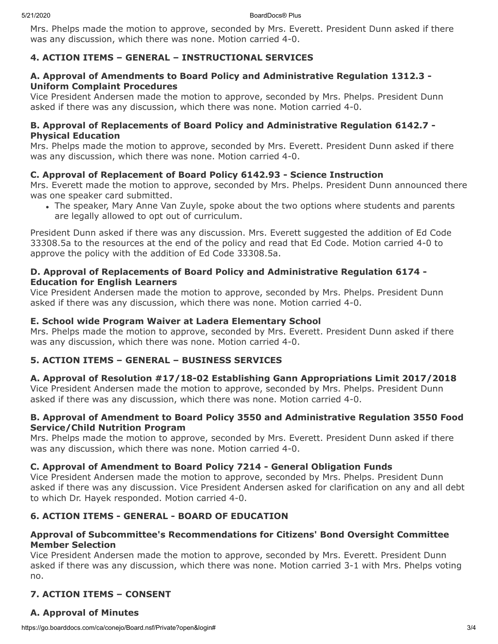5/21/2020 BoardDocs® Plus

Mrs. Phelps made the motion to approve, seconded by Mrs. Everett. President Dunn asked if there was any discussion, which there was none. Motion carried 4-0.

## **4. ACTION ITEMS – GENERAL – INSTRUCTIONAL SERVICES**

### **A. Approval of Amendments to Board Policy and Administrative Regulation 1312.3 - Uniform Complaint Procedures**

Vice President Andersen made the motion to approve, seconded by Mrs. Phelps. President Dunn asked if there was any discussion, which there was none. Motion carried 4-0.

#### **B. Approval of Replacements of Board Policy and Administrative Regulation 6142.7 - Physical Education**

Mrs. Phelps made the motion to approve, seconded by Mrs. Everett. President Dunn asked if there was any discussion, which there was none. Motion carried 4-0.

### **C. Approval of Replacement of Board Policy 6142.93 - Science Instruction**

Mrs. Everett made the motion to approve, seconded by Mrs. Phelps. President Dunn announced there was one speaker card submitted.

The speaker, Mary Anne Van Zuyle, spoke about the two options where students and parents are legally allowed to opt out of curriculum.

President Dunn asked if there was any discussion. Mrs. Everett suggested the addition of Ed Code 33308.5a to the resources at the end of the policy and read that Ed Code. Motion carried 4-0 to approve the policy with the addition of Ed Code 33308.5a.

#### **D. Approval of Replacements of Board Policy and Administrative Regulation 6174 - Education for English Learners**

Vice President Andersen made the motion to approve, seconded by Mrs. Phelps. President Dunn asked if there was any discussion, which there was none. Motion carried 4-0.

### **E. School wide Program Waiver at Ladera Elementary School**

Mrs. Phelps made the motion to approve, seconded by Mrs. Everett. President Dunn asked if there was any discussion, which there was none. Motion carried 4-0.

## **5. ACTION ITEMS – GENERAL – BUSINESS SERVICES**

#### **A. Approval of Resolution #17/18-02 Establishing Gann Appropriations Limit 2017/2018**

Vice President Andersen made the motion to approve, seconded by Mrs. Phelps. President Dunn asked if there was any discussion, which there was none. Motion carried 4-0.

#### **B. Approval of Amendment to Board Policy 3550 and Administrative Regulation 3550 Food Service/Child Nutrition Program**

Mrs. Phelps made the motion to approve, seconded by Mrs. Everett. President Dunn asked if there was any discussion, which there was none. Motion carried 4-0.

#### **C. Approval of Amendment to Board Policy 7214 - General Obligation Funds**

Vice President Andersen made the motion to approve, seconded by Mrs. Phelps. President Dunn asked if there was any discussion. Vice President Andersen asked for clarification on any and all debt to which Dr. Hayek responded. Motion carried 4-0.

## **6. ACTION ITEMS - GENERAL - BOARD OF EDUCATION**

### **Approval of Subcommittee's Recommendations for Citizens' Bond Oversight Committee Member Selection**

Vice President Andersen made the motion to approve, seconded by Mrs. Everett. President Dunn asked if there was any discussion, which there was none. Motion carried 3-1 with Mrs. Phelps voting no.

## **7. ACTION ITEMS – CONSENT**

## **A. Approval of Minutes**